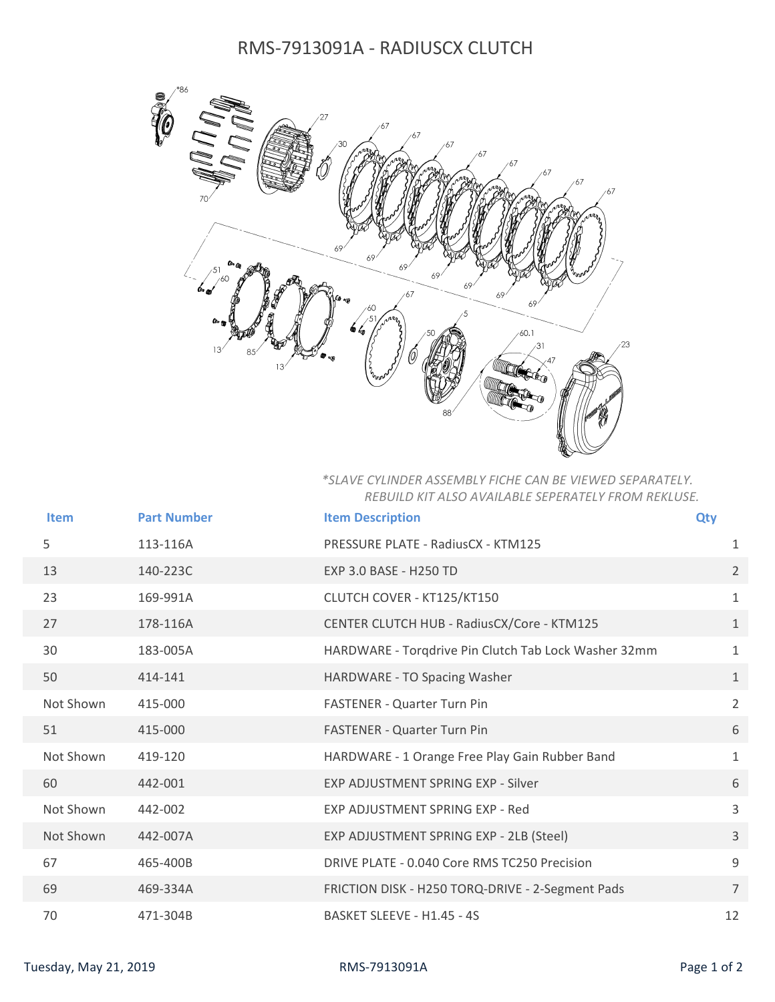## RMS-7913091A - RADIUSCX CLUTCH



## *\*SLAVE CYLINDER ASSEMBLY FICHE CAN BE VIEWED SEPARATELY. REBUILD KIT ALSO AVAILABLE SEPERATELY FROM REKLUSE.*

| <b>Item</b> | <b>Part Number</b> | <b>Item Description</b>                              | Qty            |
|-------------|--------------------|------------------------------------------------------|----------------|
|             |                    |                                                      |                |
| 5           | 113-116A           | PRESSURE PLATE - RadiusCX - KTM125                   | 1              |
| 13          | 140-223C           | EXP 3.0 BASE - H250 TD                               | $\overline{2}$ |
| 23          | 169-991A           | CLUTCH COVER - KT125/KT150                           | $\mathbf{1}$   |
| 27          | 178-116A           | CENTER CLUTCH HUB - RadiusCX/Core - KTM125           | $\mathbf{1}$   |
| 30          | 183-005A           | HARDWARE - Torgdrive Pin Clutch Tab Lock Washer 32mm | $\mathbf{1}$   |
| 50          | 414-141            | HARDWARE - TO Spacing Washer                         | $\mathbf{1}$   |
| Not Shown   | 415-000            | <b>FASTENER - Quarter Turn Pin</b>                   | $\overline{2}$ |
| 51          | 415-000            | <b>FASTENER - Quarter Turn Pin</b>                   | 6              |
| Not Shown   | 419-120            | HARDWARE - 1 Orange Free Play Gain Rubber Band       | $\mathbf{1}$   |
| 60          | 442-001            | <b>EXP ADJUSTMENT SPRING EXP - Silver</b>            | 6              |
| Not Shown   | 442-002            | EXP ADJUSTMENT SPRING EXP - Red                      | $\overline{3}$ |
| Not Shown   | 442-007A           | EXP ADJUSTMENT SPRING EXP - 2LB (Steel)              | $\mathbf{3}$   |
| 67          | 465-400B           | DRIVE PLATE - 0.040 Core RMS TC250 Precision         | 9              |
| 69          | 469-334A           | FRICTION DISK - H250 TORQ-DRIVE - 2-Segment Pads     | $\overline{7}$ |
| 70          | 471-304B           | BASKET SLEEVE - H1.45 - 4S                           | 12             |